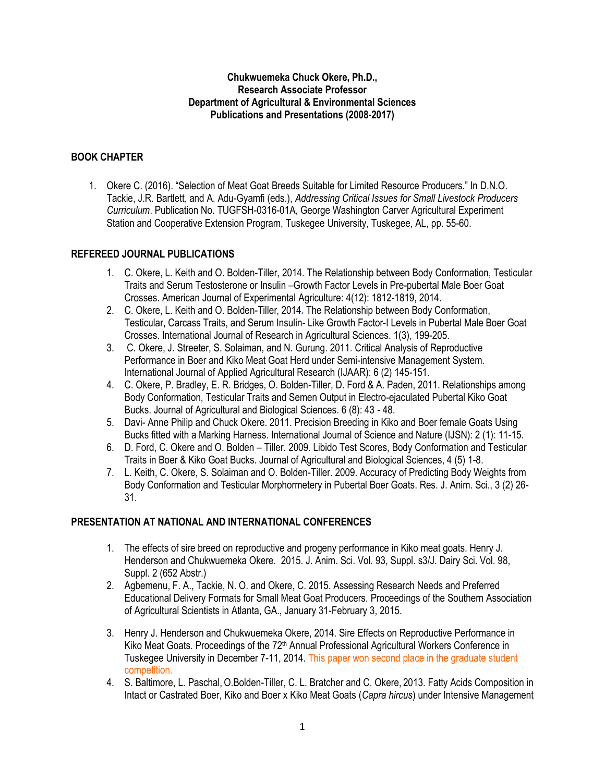## **Chukwuemeka Chuck Okere, Ph.D., Research Associate Professor Department of Agricultural & Environmental Sciences Publications and Presentations (2008-2017)**

## **BOOK CHAPTER**

1. Okere C. (2016). "Selection of Meat Goat Breeds Suitable for Limited Resource Producers." In D.N.O. Tackie, J.R. Bartlett, and A. Adu-Gyamfi (eds.), *Addressing Critical Issues for Small Livestock Producers Curriculum*. Publication No. TUGFSH-0316-01A, George Washington Carver Agricultural Experiment Station and Cooperative Extension Program, Tuskegee University, Tuskegee, AL, pp. 55-60.

## **REFEREED JOURNAL PUBLICATIONS**

- 1. C. Okere, L. Keith and O. Bolden-Tiller, 2014. The Relationship between Body Conformation, Testicular Traits and Serum Testosterone or Insulin –Growth Factor Levels in Pre-pubertal Male Boer Goat Crosses. American Journal of Experimental Agriculture: 4(12): 1812-1819, 2014.
- 2. C. Okere, L. Keith and O. Bolden-Tiller, 2014*.* The Relationship between Body Conformation, Testicular, Carcass Traits, and Serum Insulin- Like Growth Factor-I Levels in Pubertal Male Boer Goat Crosses. International Journal of Research in Agricultural Sciences. 1(3), 199-205.
- 3. C. Okere, J. Streeter, S. Solaiman, and N. Gurung. 2011*.* Critical Analysis of Reproductive Performance in Boer and Kiko Meat Goat Herd under Semi-intensive Management System. International Journal of Applied Agricultural Research (IJAAR): 6 (2) 145-151.
- 4. C. Okere, P. Bradley, E. R. Bridges, O. Bolden-Tiller, D. Ford & A. Paden, 2011. Relationships among Body Conformation, Testicular Traits and Semen Output in Electro-ejaculated Pubertal Kiko Goat Bucks. Journal of Agricultural and Biological Sciences. 6 (8): 43 - 48.
- 5. Davi- Anne Philip and Chuck Okere. 2011. Precision Breeding in Kiko and Boer female Goats Using Bucks fitted with a Marking Harness. International Journal of Science and Nature (IJSN): 2 (1): 11-15.
- 6. D. Ford, C. Okere and O. Bolden Tiller. 2009. Libido Test Scores, Body Conformation and Testicular Traits in Boer & Kiko Goat Bucks. Journal of Agricultural and Biological Sciences, 4 (5) 1-8.
- 7. L. Keith, C. Okere, S. Solaiman and O. Bolden-Tiller. 2009. Accuracy of Predicting Body Weights from Body Conformation and Testicular Morphormetery in Pubertal Boer Goats. Res. J. Anim. Sci., 3 (2) 26- 31.

## **PRESENTATION AT NATIONAL AND INTERNATIONAL CONFERENCES**

- 1. The effects of sire breed on reproductive and progeny performance in Kiko meat goats. Henry J. Henderson and Chukwuemeka Okere. 2015. J. Anim. Sci. Vol. 93, Suppl. s3/J. Dairy Sci. Vol. 98, Suppl. 2 (652 Abstr.)
- 2. Agbemenu, F. A., Tackie, N. O. and Okere, C. 2015. Assessing Research Needs and Preferred Educational Delivery Formats for Small Meat Goat Producers. Proceedings of the Southern Association of Agricultural Scientists in Atlanta, GA., January 31-February 3, 2015.
- 3. Henry J. Henderson and Chukwuemeka Okere, 2014. Sire Effects on Reproductive Performance in Kiko Meat Goats. Proceedings of the 72<sup>th</sup> Annual Professional Agricultural Workers Conference in Tuskegee University in December 7-11, 2014. This paper won second place in the graduate student competition.
- 4. S. Baltimore, L. Paschal,O.Bolden-Tiller, C. L. Bratcher and C. Okere, 2013. Fatty Acids Composition in Intact or Castrated Boer, Kiko and Boer x Kiko Meat Goats (*Capra hircus*) under Intensive Management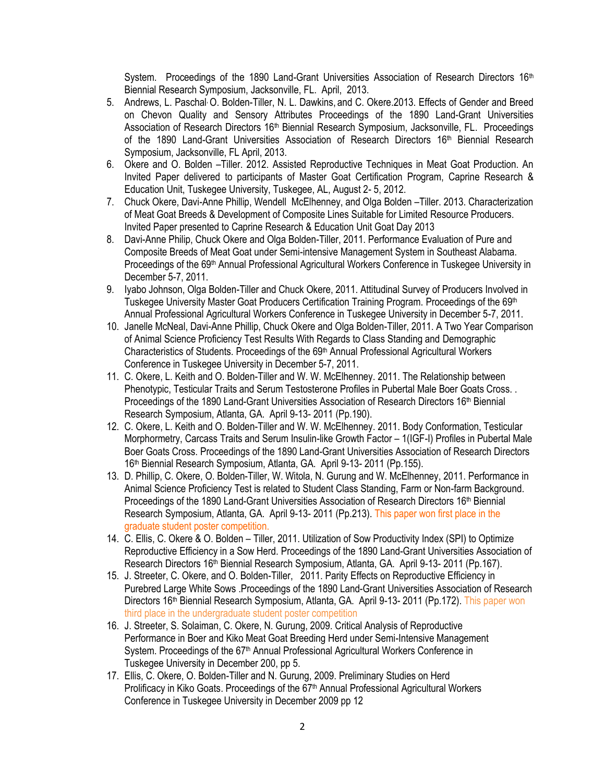System. Proceedings of the 1890 Land-Grant Universities Association of Research Directors  $16<sup>th</sup>$ Biennial Research Symposium, Jacksonville, FL. April, 2013.

- 5. Andrews, L. Paschal<sup>,</sup> O. Bolden-Tiller, N. L. Dawkins, and C. Okere.2013. Effects of Gender and Breed on Chevon Quality and Sensory Attributes Proceedings of the 1890 Land-Grant Universities Association of Research Directors 16<sup>th</sup> Biennial Research Symposium, Jacksonville, FL. Proceedings of the 1890 Land-Grant Universities Association of Research Directors 16<sup>th</sup> Biennial Research Symposium, Jacksonville, FL April, 2013.
- 6. Okere and O. Bolden –Tiller. 2012. Assisted Reproductive Techniques in Meat Goat Production. An Invited Paper delivered to participants of Master Goat Certification Program, Caprine Research & Education Unit, Tuskegee University, Tuskegee, AL, August 2- 5, 2012.
- 7. Chuck Okere, Davi-Anne Phillip, Wendell McElhenney, and Olga Bolden –Tiller. 2013. Characterization of Meat Goat Breeds & Development of Composite Lines Suitable for Limited Resource Producers. Invited Paper presented to Caprine Research & Education Unit Goat Day 2013
- 8. Davi-Anne Philip, Chuck Okere and Olga Bolden-Tiller, 2011. Performance Evaluation of Pure and Composite Breeds of Meat Goat under Semi-intensive Management System in Southeast Alabama. Proceedings of the 69<sup>th</sup> Annual Professional Agricultural Workers Conference in Tuskegee University in December 5-7, 2011.
- 9. Iyabo Johnson, Olga Bolden-Tiller and Chuck Okere, 2011. Attitudinal Survey of Producers Involved in Tuskegee University Master Goat Producers Certification Training Program. Proceedings of the 69<sup>th</sup> Annual Professional Agricultural Workers Conference in Tuskegee University in December 5-7, 2011.
- 10. Janelle McNeal, Davi-Anne Phillip, Chuck Okere and Olga Bolden-Tiller, 2011. A Two Year Comparison of Animal Science Proficiency Test Results With Regards to Class Standing and Demographic Characteristics of Students. Proceedings of the 69<sup>th</sup> Annual Professional Agricultural Workers Conference in Tuskegee University in December 5-7, 2011.
- 11. C. Okere, L. Keith and O. Bolden-Tiller and W. W. McElhenney. 2011. The Relationship between Phenotypic, Testicular Traits and Serum Testosterone Profiles in Pubertal Male Boer Goats Cross. . Proceedings of the 1890 Land-Grant Universities Association of Research Directors 16<sup>th</sup> Biennial Research Symposium, Atlanta, GA. April 9-13- 2011 (Pp.190).
- 12. C. Okere, L. Keith and O. Bolden-Tiller and W. W. McElhenney. 2011. Body Conformation, Testicular Morphormetry, Carcass Traits and Serum Insulin-like Growth Factor – 1(IGF-I) Profiles in Pubertal Male Boer Goats Cross. Proceedings of the 1890 Land-Grant Universities Association of Research Directors 16th Biennial Research Symposium, Atlanta, GA. April 9-13- 2011 (Pp.155).
- 13. D. Phillip, C. Okere, O. Bolden-Tiller, W. Witola, N. Gurung and W. McElhenney, 2011. Performance in Animal Science Proficiency Test is related to Student Class Standing, Farm or Non-farm Background. Proceedings of the 1890 Land-Grant Universities Association of Research Directors 16<sup>th</sup> Biennial Research Symposium, Atlanta, GA. April 9-13- 2011 (Pp.213). This paper won first place in the graduate student poster competition.
- 14. C. Ellis, C. Okere & O. Bolden Tiller, 2011. Utilization of Sow Productivity Index (SPI) to Optimize Reproductive Efficiency in a Sow Herd. Proceedings of the 1890 Land-Grant Universities Association of Research Directors 16<sup>th</sup> Biennial Research Symposium, Atlanta, GA. April 9-13- 2011 (Pp.167).
- 15. J. Streeter, C. Okere, and O. Bolden-Tiller, 2011. Parity Effects on Reproductive Efficiency in Purebred Large White Sows .Proceedings of the 1890 Land-Grant Universities Association of Research Directors 16<sup>th</sup> Biennial Research Symposium, Atlanta, GA. April 9-13-2011 (Pp.172). This paper won third place in the undergraduate student poster competition
- 16. J. Streeter, S. Solaiman, C. Okere, N. Gurung, 2009. Critical Analysis of Reproductive Performance in Boer and Kiko Meat Goat Breeding Herd under Semi-Intensive Management System. Proceedings of the 67<sup>th</sup> Annual Professional Agricultural Workers Conference in Tuskegee University in December 200, pp 5.
- 17. Ellis, C. Okere, O. Bolden-Tiller and N. Gurung, 2009. Preliminary Studies on Herd Prolificacy in Kiko Goats. Proceedings of the 67<sup>th</sup> Annual Professional Agricultural Workers Conference in Tuskegee University in December 2009 pp 12